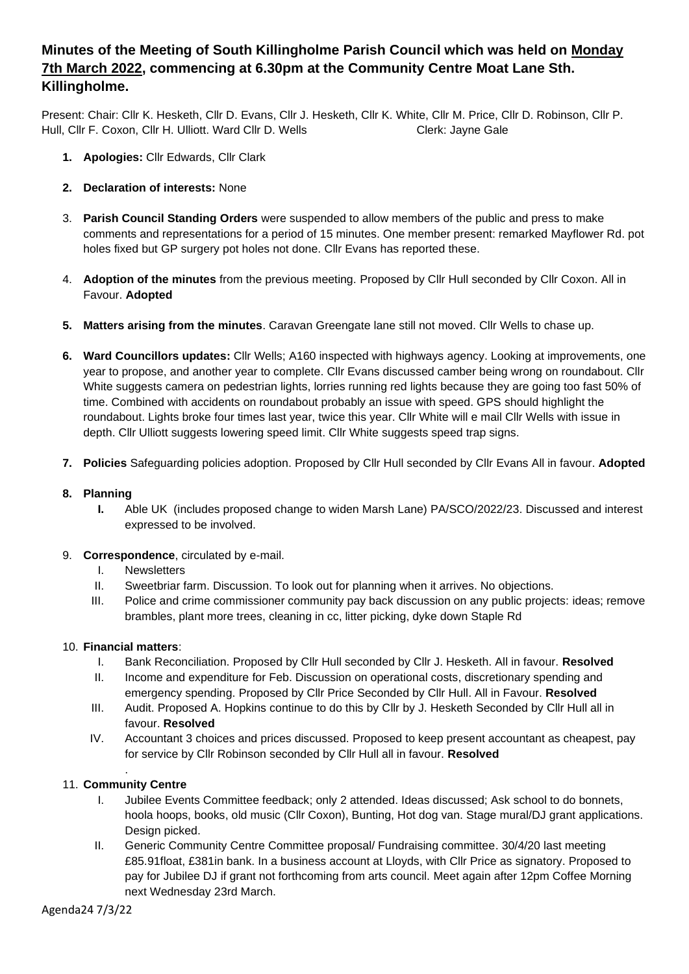# **Minutes of the Meeting of South Killingholme Parish Council which was held on Monday 7th March 2022, commencing at 6.30pm at the Community Centre Moat Lane Sth. Killingholme.**

Present: Chair: Cllr K. Hesketh, Cllr D. Evans, Cllr J. Hesketh, Cllr K. White, Cllr M. Price, Cllr D. Robinson, Cllr P. Hull, Cllr F. Coxon, Cllr H. Ulliott. Ward Cllr D. Wells Clerk: Jayne Gale

- **1. Apologies:** Cllr Edwards, Cllr Clark
- **2. Declaration of interests:** None
- 3. **Parish Council Standing Orders** were suspended to allow members of the public and press to make comments and representations for a period of 15 minutes. One member present: remarked Mayflower Rd. pot holes fixed but GP surgery pot holes not done. Cllr Evans has reported these.
- 4. **Adoption of the minutes** from the previous meeting. Proposed by Cllr Hull seconded by Cllr Coxon. All in Favour. **Adopted**
- **5. Matters arising from the minutes**. Caravan Greengate lane still not moved. Cllr Wells to chase up.
- **6. Ward Councillors updates:** Cllr Wells; A160 inspected with highways agency. Looking at improvements, one year to propose, and another year to complete. Cllr Evans discussed camber being wrong on roundabout. Cllr White suggests camera on pedestrian lights, lorries running red lights because they are going too fast 50% of time. Combined with accidents on roundabout probably an issue with speed. GPS should highlight the roundabout. Lights broke four times last year, twice this year. Cllr White will e mail Cllr Wells with issue in depth. Cllr Ulliott suggests lowering speed limit. Cllr White suggests speed trap signs.
- **7. Policies** Safeguarding policies adoption. Proposed by Cllr Hull seconded by Cllr Evans All in favour. **Adopted**

## **8. Planning**

- **I.** Able UK (includes proposed change to widen Marsh Lane) PA/SCO/2022/23. Discussed and interest expressed to be involved.
- 9. **Correspondence**, circulated by e-mail.
	- I. Newsletters
	- II. Sweetbriar farm. Discussion. To look out for planning when it arrives. No objections.
	- III. Police and crime commissioner community pay back discussion on any public projects: ideas; remove brambles, plant more trees, cleaning in cc, litter picking, dyke down Staple Rd

### 10. **Financial matters**:

- I. Bank Reconciliation. Proposed by Cllr Hull seconded by Cllr J. Hesketh. All in favour. **Resolved**
- II. Income and expenditure for Feb. Discussion on operational costs, discretionary spending and emergency spending. Proposed by Cllr Price Seconded by Cllr Hull. All in Favour. **Resolved**
- III. Audit. Proposed A. Hopkins continue to do this by Cllr by J. Hesketh Seconded by Cllr Hull all in favour. **Resolved**
- IV. Accountant 3 choices and prices discussed. Proposed to keep present accountant as cheapest, pay for service by Cllr Robinson seconded by Cllr Hull all in favour. **Resolved**

#### . 11. **Community Centre**

- I. Jubilee Events Committee feedback; only 2 attended. Ideas discussed; Ask school to do bonnets, hoola hoops, books, old music (Cllr Coxon), Bunting, Hot dog van. Stage mural/DJ grant applications. Design picked.
- II. Generic Community Centre Committee proposal/ Fundraising committee. 30/4/20 last meeting £85.91float, £381in bank. In a business account at Lloyds, with Cllr Price as signatory. Proposed to pay for Jubilee DJ if grant not forthcoming from arts council. Meet again after 12pm Coffee Morning next Wednesday 23rd March.